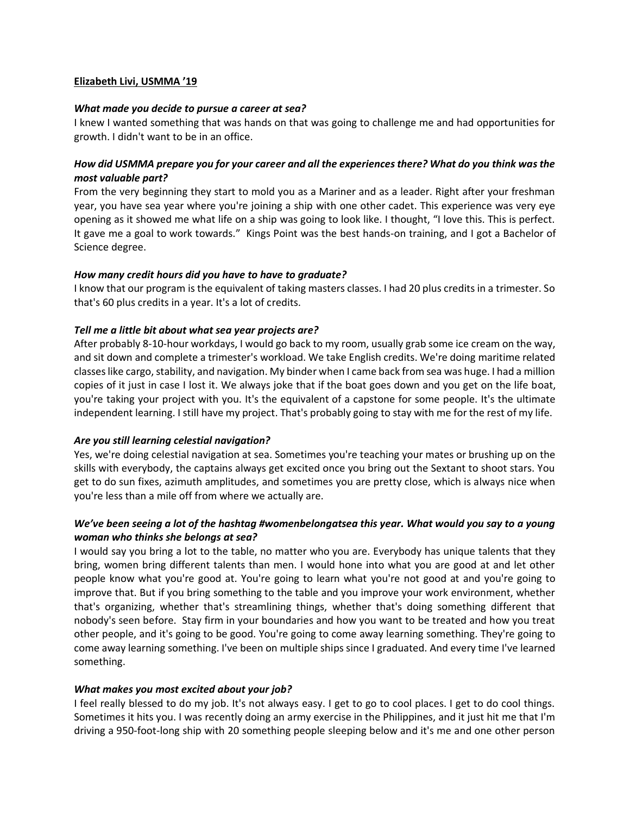### **Elizabeth Livi, USMMA '19**

#### *What made you decide to pursue a career at sea?*

I knew I wanted something that was hands on that was going to challenge me and had opportunities for growth. I didn't want to be in an office.

# *How did USMMA prepare you for your career and all the experiences there? What do you think was the most valuable part?*

From the very beginning they start to mold you as a Mariner and as a leader. Right after your freshman year, you have sea year where you're joining a ship with one other cadet. This experience was very eye opening as it showed me what life on a ship was going to look like. I thought, "I love this. This is perfect. It gave me a goal to work towards." Kings Point was the best hands-on training, and I got a Bachelor of Science degree.

### *How many credit hours did you have to have to graduate?*

I know that our program is the equivalent of taking masters classes. I had 20 plus credits in a trimester. So that's 60 plus credits in a year. It's a lot of credits.

## *Tell me a little bit about what sea year projects are?*

After probably 8-10-hour workdays, I would go back to my room, usually grab some ice cream on the way, and sit down and complete a trimester's workload. We take English credits. We're doing maritime related classes like cargo, stability, and navigation. My binder when I came back from sea was huge. I had a million copies of it just in case I lost it. We always joke that if the boat goes down and you get on the life boat, you're taking your project with you. It's the equivalent of a capstone for some people. It's the ultimate independent learning. I still have my project. That's probably going to stay with me for the rest of my life.

## *Are you still learning celestial navigation?*

Yes, we're doing celestial navigation at sea. Sometimes you're teaching your mates or brushing up on the skills with everybody, the captains always get excited once you bring out the Sextant to shoot stars. You get to do sun fixes, azimuth amplitudes, and sometimes you are pretty close, which is always nice when you're less than a mile off from where we actually are.

# *We've been seeing a lot of the hashtag #womenbelongatsea this year. What would you say to a young woman who thinks she belongs at sea?*

I would say you bring a lot to the table, no matter who you are. Everybody has unique talents that they bring, women bring different talents than men. I would hone into what you are good at and let other people know what you're good at. You're going to learn what you're not good at and you're going to improve that. But if you bring something to the table and you improve your work environment, whether that's organizing, whether that's streamlining things, whether that's doing something different that nobody's seen before. Stay firm in your boundaries and how you want to be treated and how you treat other people, and it's going to be good. You're going to come away learning something. They're going to come away learning something. I've been on multiple ships since I graduated. And every time I've learned something.

#### *What makes you most excited about your job?*

I feel really blessed to do my job. It's not always easy. I get to go to cool places. I get to do cool things. Sometimes it hits you. I was recently doing an army exercise in the Philippines, and it just hit me that I'm driving a 950-foot-long ship with 20 something people sleeping below and it's me and one other person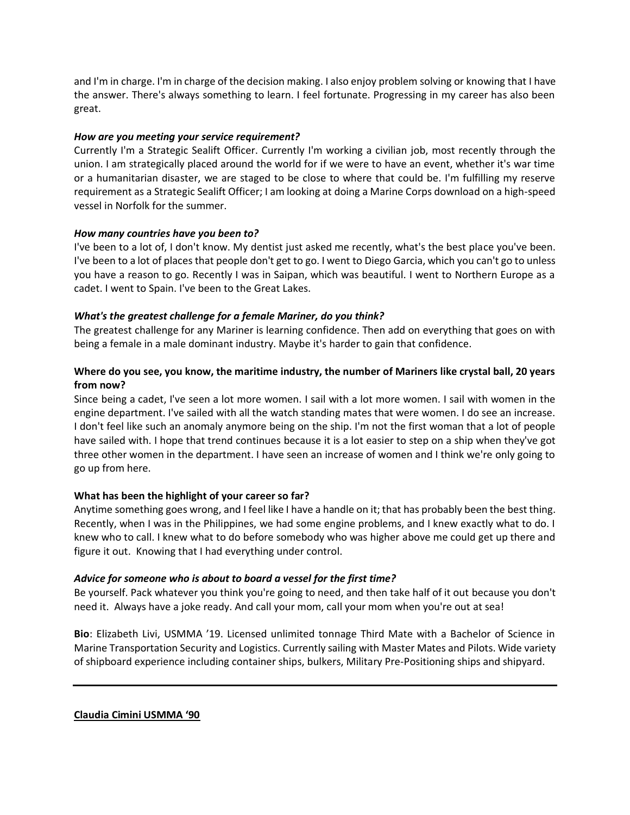and I'm in charge. I'm in charge of the decision making. I also enjoy problem solving or knowing that I have the answer. There's always something to learn. I feel fortunate. Progressing in my career has also been great.

# *How are you meeting your service requirement?*

Currently I'm a Strategic Sealift Officer. Currently I'm working a civilian job, most recently through the union. I am strategically placed around the world for if we were to have an event, whether it's war time or a humanitarian disaster, we are staged to be close to where that could be. I'm fulfilling my reserve requirement as a Strategic Sealift Officer; I am looking at doing a Marine Corps download on a high-speed vessel in Norfolk for the summer.

## *How many countries have you been to?*

I've been to a lot of, I don't know. My dentist just asked me recently, what's the best place you've been. I've been to a lot of places that people don't get to go. I went to Diego Garcia, which you can't go to unless you have a reason to go. Recently I was in Saipan, which was beautiful. I went to Northern Europe as a cadet. I went to Spain. I've been to the Great Lakes.

# *What's the greatest challenge for a female Mariner, do you think?*

The greatest challenge for any Mariner is learning confidence. Then add on everything that goes on with being a female in a male dominant industry. Maybe it's harder to gain that confidence.

# **Where do you see, you know, the maritime industry, the number of Mariners like crystal ball, 20 years from now?**

Since being a cadet, I've seen a lot more women. I sail with a lot more women. I sail with women in the engine department. I've sailed with all the watch standing mates that were women. I do see an increase. I don't feel like such an anomaly anymore being on the ship. I'm not the first woman that a lot of people have sailed with. I hope that trend continues because it is a lot easier to step on a ship when they've got three other women in the department. I have seen an increase of women and I think we're only going to go up from here.

# **What has been the highlight of your career so far?**

Anytime something goes wrong, and I feel like I have a handle on it; that has probably been the best thing. Recently, when I was in the Philippines, we had some engine problems, and I knew exactly what to do. I knew who to call. I knew what to do before somebody who was higher above me could get up there and figure it out. Knowing that I had everything under control.

## *Advice for someone who is about to board a vessel for the first time?*

Be yourself. Pack whatever you think you're going to need, and then take half of it out because you don't need it. Always have a joke ready. And call your mom, call your mom when you're out at sea!

**Bio**: Elizabeth Livi, USMMA '19. Licensed unlimited tonnage Third Mate with a Bachelor of Science in Marine Transportation Security and Logistics. Currently sailing with Master Mates and Pilots. Wide variety of shipboard experience including container ships, bulkers, Military Pre-Positioning ships and shipyard.

**Claudia Cimini USMMA '90**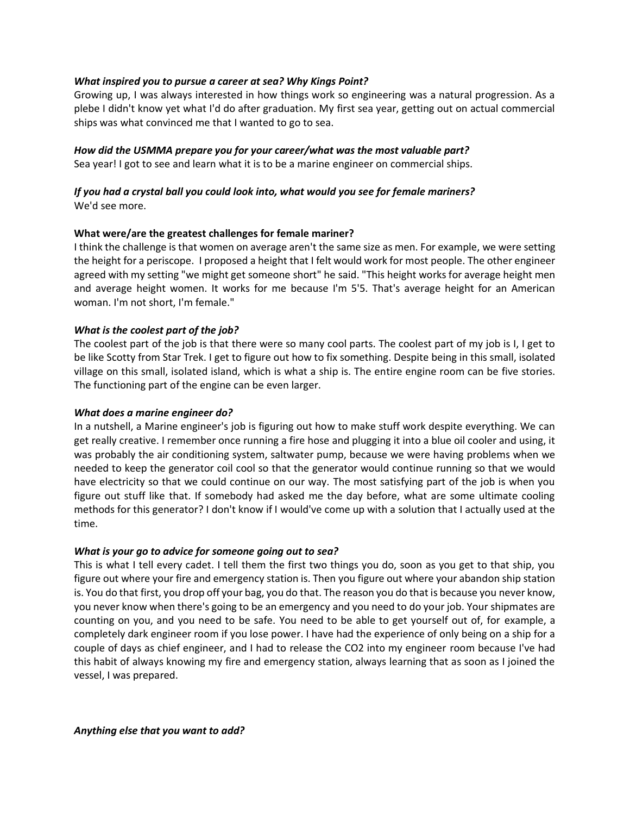## *What inspired you to pursue a career at sea? Why Kings Point?*

Growing up, I was always interested in how things work so engineering was a natural progression. As a plebe I didn't know yet what I'd do after graduation. My first sea year, getting out on actual commercial ships was what convinced me that I wanted to go to sea.

## *How did the USMMA prepare you for your career/what was the most valuable part?*

Sea year! I got to see and learn what it is to be a marine engineer on commercial ships.

# *If you had a crystal ball you could look into, what would you see for female mariners?* We'd see more.

### **What were/are the greatest challenges for female mariner?**

I think the challenge is that women on average aren't the same size as men. For example, we were setting the height for a periscope. I proposed a height that I felt would work for most people. The other engineer agreed with my setting "we might get someone short" he said. "This height works for average height men and average height women. It works for me because I'm 5'5. That's average height for an American woman. I'm not short, I'm female."

### *What is the coolest part of the job?*

The coolest part of the job is that there were so many cool parts. The coolest part of my job is I, I get to be like Scotty from Star Trek. I get to figure out how to fix something. Despite being in this small, isolated village on this small, isolated island, which is what a ship is. The entire engine room can be five stories. The functioning part of the engine can be even larger.

#### *What does a marine engineer do?*

In a nutshell, a Marine engineer's job is figuring out how to make stuff work despite everything. We can get really creative. I remember once running a fire hose and plugging it into a blue oil cooler and using, it was probably the air conditioning system, saltwater pump, because we were having problems when we needed to keep the generator coil cool so that the generator would continue running so that we would have electricity so that we could continue on our way. The most satisfying part of the job is when you figure out stuff like that. If somebody had asked me the day before, what are some ultimate cooling methods for this generator? I don't know if I would've come up with a solution that I actually used at the time.

## *What is your go to advice for someone going out to sea?*

This is what I tell every cadet. I tell them the first two things you do, soon as you get to that ship, you figure out where your fire and emergency station is. Then you figure out where your abandon ship station is. You do that first, you drop off your bag, you do that. The reason you do that is because you never know, you never know when there's going to be an emergency and you need to do your job. Your shipmates are counting on you, and you need to be safe. You need to be able to get yourself out of, for example, a completely dark engineer room if you lose power. I have had the experience of only being on a ship for a couple of days as chief engineer, and I had to release the CO2 into my engineer room because I've had this habit of always knowing my fire and emergency station, always learning that as soon as I joined the vessel, I was prepared.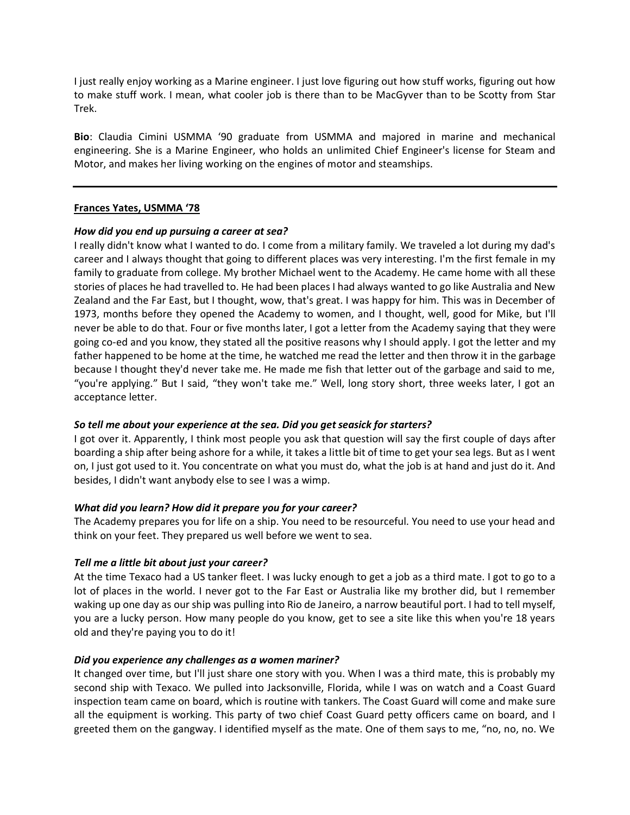I just really enjoy working as a Marine engineer. I just love figuring out how stuff works, figuring out how to make stuff work. I mean, what cooler job is there than to be MacGyver than to be Scotty from Star Trek.

**Bio**: Claudia Cimini USMMA '90 graduate from USMMA and majored in marine and mechanical engineering. She is a Marine Engineer, who holds an unlimited Chief Engineer's license for Steam and Motor, and makes her living working on the engines of motor and steamships.

### **Frances Yates, USMMA '78**

### *How did you end up pursuing a career at sea?*

I really didn't know what I wanted to do. I come from a military family. We traveled a lot during my dad's career and I always thought that going to different places was very interesting. I'm the first female in my family to graduate from college. My brother Michael went to the Academy. He came home with all these stories of places he had travelled to. He had been places I had always wanted to go like Australia and New Zealand and the Far East, but I thought, wow, that's great. I was happy for him. This was in December of 1973, months before they opened the Academy to women, and I thought, well, good for Mike, but I'll never be able to do that. Four or five months later, I got a letter from the Academy saying that they were going co-ed and you know, they stated all the positive reasons why I should apply. I got the letter and my father happened to be home at the time, he watched me read the letter and then throw it in the garbage because I thought they'd never take me. He made me fish that letter out of the garbage and said to me, "you're applying." But I said, "they won't take me." Well, long story short, three weeks later, I got an acceptance letter.

## *So tell me about your experience at the sea. Did you get seasick for starters?*

I got over it. Apparently, I think most people you ask that question will say the first couple of days after boarding a ship after being ashore for a while, it takes a little bit of time to get your sea legs. But as I went on, I just got used to it. You concentrate on what you must do, what the job is at hand and just do it. And besides, I didn't want anybody else to see I was a wimp.

## *What did you learn? How did it prepare you for your career?*

The Academy prepares you for life on a ship. You need to be resourceful. You need to use your head and think on your feet. They prepared us well before we went to sea.

## *Tell me a little bit about just your career?*

At the time Texaco had a US tanker fleet. I was lucky enough to get a job as a third mate. I got to go to a lot of places in the world. I never got to the Far East or Australia like my brother did, but I remember waking up one day as our ship was pulling into Rio de Janeiro, a narrow beautiful port. I had to tell myself, you are a lucky person. How many people do you know, get to see a site like this when you're 18 years old and they're paying you to do it!

#### *Did you experience any challenges as a women mariner?*

It changed over time, but I'll just share one story with you. When I was a third mate, this is probably my second ship with Texaco. We pulled into Jacksonville, Florida, while I was on watch and a Coast Guard inspection team came on board, which is routine with tankers. The Coast Guard will come and make sure all the equipment is working. This party of two chief Coast Guard petty officers came on board, and I greeted them on the gangway. I identified myself as the mate. One of them says to me, "no, no, no. We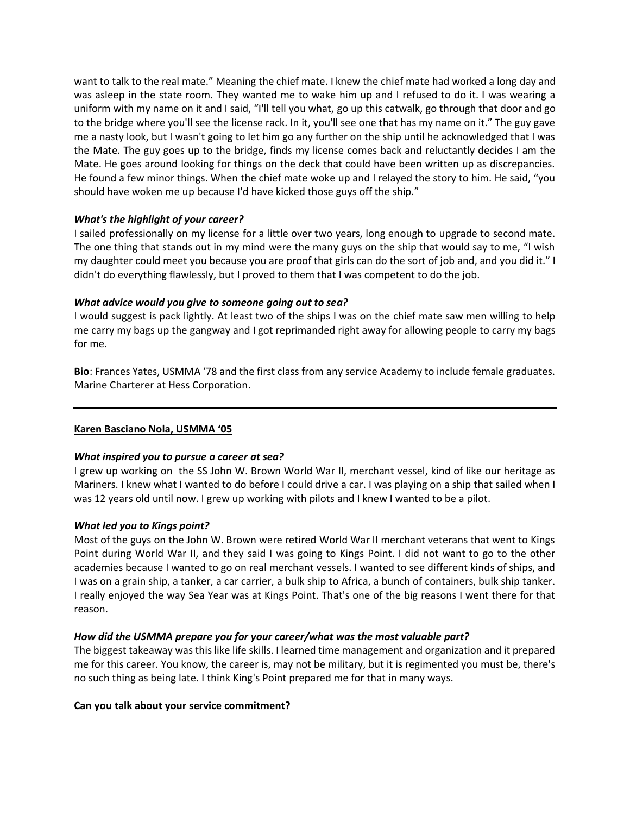want to talk to the real mate." Meaning the chief mate. I knew the chief mate had worked a long day and was asleep in the state room. They wanted me to wake him up and I refused to do it. I was wearing a uniform with my name on it and I said, "I'll tell you what, go up this catwalk, go through that door and go to the bridge where you'll see the license rack. In it, you'll see one that has my name on it." The guy gave me a nasty look, but I wasn't going to let him go any further on the ship until he acknowledged that I was the Mate. The guy goes up to the bridge, finds my license comes back and reluctantly decides I am the Mate. He goes around looking for things on the deck that could have been written up as discrepancies. He found a few minor things. When the chief mate woke up and I relayed the story to him. He said, "you should have woken me up because I'd have kicked those guys off the ship."

## *What's the highlight of your career?*

I sailed professionally on my license for a little over two years, long enough to upgrade to second mate. The one thing that stands out in my mind were the many guys on the ship that would say to me, "I wish my daughter could meet you because you are proof that girls can do the sort of job and, and you did it." I didn't do everything flawlessly, but I proved to them that I was competent to do the job.

### *What advice would you give to someone going out to sea?*

I would suggest is pack lightly. At least two of the ships I was on the chief mate saw men willing to help me carry my bags up the gangway and I got reprimanded right away for allowing people to carry my bags for me.

**Bio**: Frances Yates, USMMA '78 and the first class from any service Academy to include female graduates. Marine Charterer at Hess Corporation.

## **Karen Basciano Nola, USMMA '05**

#### *What inspired you to pursue a career at sea?*

I grew up working on the SS John W. Brown World War II, merchant vessel, kind of like our heritage as Mariners. I knew what I wanted to do before I could drive a car. I was playing on a ship that sailed when I was 12 years old until now. I grew up working with pilots and I knew I wanted to be a pilot.

## *What led you to Kings point?*

Most of the guys on the John W. Brown were retired World War II merchant veterans that went to Kings Point during World War II, and they said I was going to Kings Point. I did not want to go to the other academies because I wanted to go on real merchant vessels. I wanted to see different kinds of ships, and I was on a grain ship, a tanker, a car carrier, a bulk ship to Africa, a bunch of containers, bulk ship tanker. I really enjoyed the way Sea Year was at Kings Point. That's one of the big reasons I went there for that reason.

## *How did the USMMA prepare you for your career/what was the most valuable part?*

The biggest takeaway was this like life skills. I learned time management and organization and it prepared me for this career. You know, the career is, may not be military, but it is regimented you must be, there's no such thing as being late. I think King's Point prepared me for that in many ways.

#### **Can you talk about your service commitment?**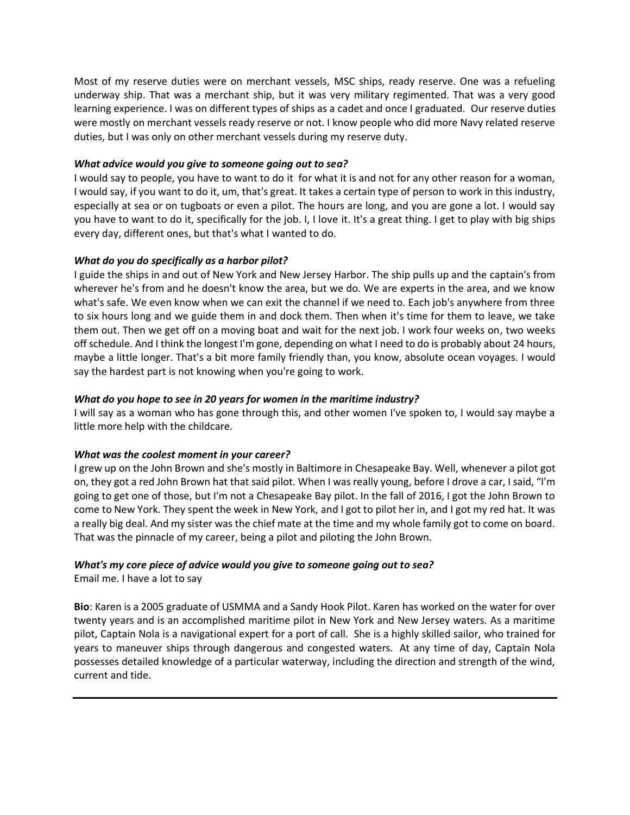Most of my reserve duties were on merchant vessels, MSC ships, ready reserve. One was a refueling underway ship. That was a merchant ship, but it was very military regimented. That was a very good learning experience. I was on different types of ships as a cadet and once I graduated. Our reserve duties were mostly on merchant vessels ready reserve or not. I know people who did more Navy related reserve duties, but I was only on other merchant vessels during my reserve duty.

### *What advice would you give to someone going out to sea?*

I would say to people, you have to want to do it for what it is and not for any other reason for a woman, I would say, if you want to do it, um, that's great. It takes a certain type of person to work in this industry, especially at sea or on tugboats or even a pilot. The hours are long, and you are gone a lot. I would say you have to want to do it, specifically for the job. I, I love it. It's a great thing. I get to play with big ships every day, different ones, but that's what I wanted to do.

## *What do you do specifically as a harbor pilot?*

I guide the ships in and out of New York and New Jersey Harbor. The ship pulls up and the captain's from wherever he's from and he doesn't know the area, but we do. We are experts in the area, and we know what's safe. We even know when we can exit the channel if we need to. Each job's anywhere from three to six hours long and we guide them in and dock them. Then when it's time for them to leave, we take them out. Then we get off on a moving boat and wait for the next job. I work four weeks on, two weeks off schedule. And I think the longest I'm gone, depending on what I need to do is probably about 24 hours, maybe a little longer. That's a bit more family friendly than, you know, absolute ocean voyages. I would say the hardest part is not knowing when you're going to work.

# *What do you hope to see in 20 years for women in the maritime industry?*

I will say as a woman who has gone through this, and other women I've spoken to, I would say maybe a little more help with the childcare.

## *What was the coolest moment in your career?*

I grew up on the John Brown and she's mostly in Baltimore in Chesapeake Bay. Well, whenever a pilot got on, they got a red John Brown hat that said pilot. When I was really young, before I drove a car, I said, "I'm going to get one of those, but I'm not a Chesapeake Bay pilot. In the fall of 2016, I got the John Brown to come to New York. They spent the week in New York, and I got to pilot her in, and I got my red hat. It was a really big deal. And my sister was the chief mate at the time and my whole family got to come on board. That was the pinnacle of my career, being a pilot and piloting the John Brown.

# *What's my core piece of advice would you give to someone going out to sea?*

Email me. I have a lot to say

**Bio**: Karen is a 2005 graduate of USMMA and a Sandy Hook Pilot. Karen has worked on the water for over twenty years and is an accomplished maritime pilot in New York and New Jersey waters. As a maritime pilot, Captain Nola is a navigational expert for a port of call. She is a highly skilled sailor, who trained for years to maneuver ships through dangerous and congested waters. At any time of day, Captain Nola possesses detailed knowledge of a particular waterway, including the direction and strength of the wind, current and tide.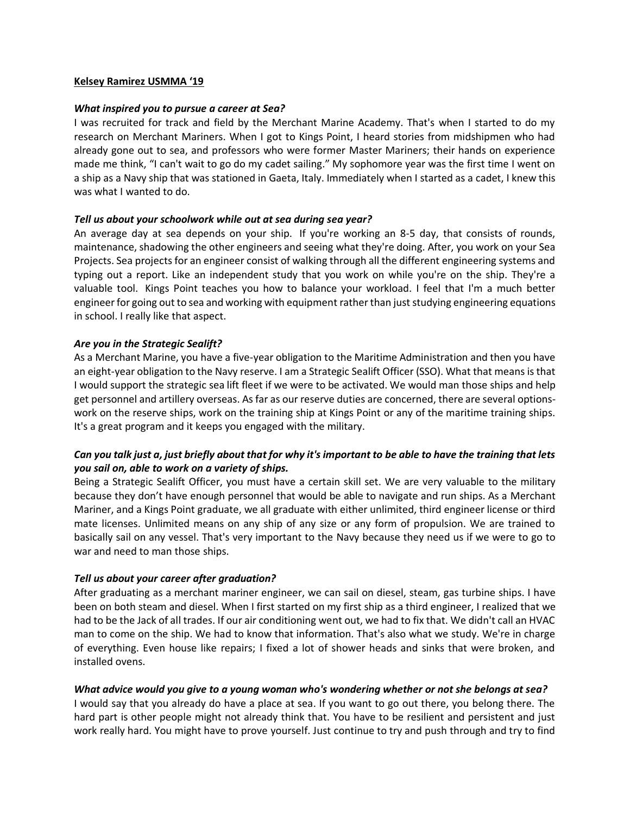### **Kelsey Ramirez USMMA '19**

### *What inspired you to pursue a career at Sea?*

I was recruited for track and field by the Merchant Marine Academy. That's when I started to do my research on Merchant Mariners. When I got to Kings Point, I heard stories from midshipmen who had already gone out to sea, and professors who were former Master Mariners; their hands on experience made me think, "I can't wait to go do my cadet sailing." My sophomore year was the first time I went on a ship as a Navy ship that was stationed in Gaeta, Italy. Immediately when I started as a cadet, I knew this was what I wanted to do.

### *Tell us about your schoolwork while out at sea during sea year?*

An average day at sea depends on your ship. If you're working an 8-5 day, that consists of rounds, maintenance, shadowing the other engineers and seeing what they're doing. After, you work on your Sea Projects. Sea projects for an engineer consist of walking through all the different engineering systems and typing out a report. Like an independent study that you work on while you're on the ship. They're a valuable tool. Kings Point teaches you how to balance your workload. I feel that I'm a much better engineer for going out to sea and working with equipment rather than just studying engineering equations in school. I really like that aspect.

## *Are you in the Strategic Sealift?*

As a Merchant Marine, you have a five-year obligation to the Maritime Administration and then you have an eight-year obligation to the Navy reserve. I am a Strategic Sealift Officer (SSO). What that means is that I would support the strategic sea lift fleet if we were to be activated. We would man those ships and help get personnel and artillery overseas. As far as our reserve duties are concerned, there are several optionswork on the reserve ships, work on the training ship at Kings Point or any of the maritime training ships. It's a great program and it keeps you engaged with the military.

# *Can you talk just a, just briefly about that for why it's important to be able to have the training that lets you sail on, able to work on a variety of ships.*

Being a Strategic Sealift Officer, you must have a certain skill set. We are very valuable to the military because they don't have enough personnel that would be able to navigate and run ships. As a Merchant Mariner, and a Kings Point graduate, we all graduate with either unlimited, third engineer license or third mate licenses. Unlimited means on any ship of any size or any form of propulsion. We are trained to basically sail on any vessel. That's very important to the Navy because they need us if we were to go to war and need to man those ships.

## *Tell us about your career after graduation?*

After graduating as a merchant mariner engineer, we can sail on diesel, steam, gas turbine ships. I have been on both steam and diesel. When I first started on my first ship as a third engineer, I realized that we had to be the Jack of all trades. If our air conditioning went out, we had to fix that. We didn't call an HVAC man to come on the ship. We had to know that information. That's also what we study. We're in charge of everything. Even house like repairs; I fixed a lot of shower heads and sinks that were broken, and installed ovens.

## *What advice would you give to a young woman who's wondering whether or not she belongs at sea?*

I would say that you already do have a place at sea. If you want to go out there, you belong there. The hard part is other people might not already think that. You have to be resilient and persistent and just work really hard. You might have to prove yourself. Just continue to try and push through and try to find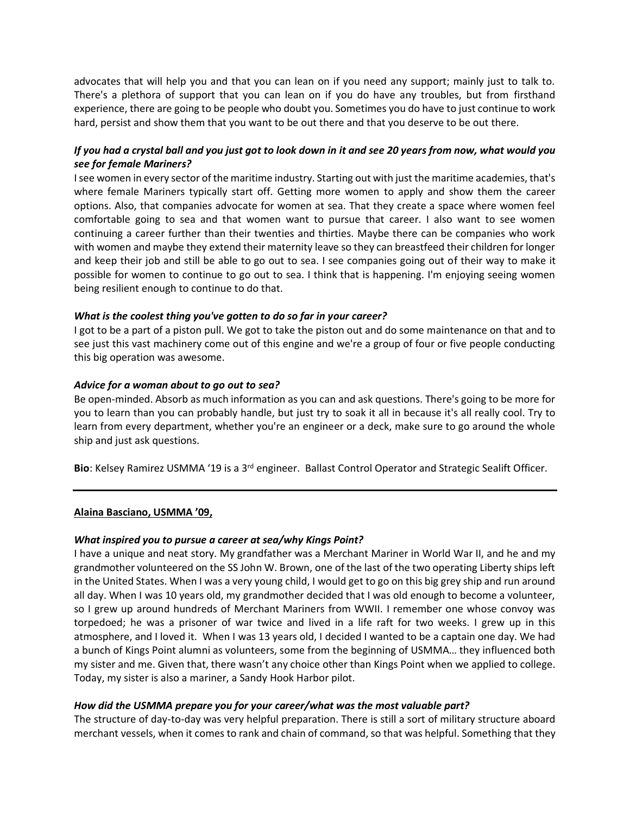advocates that will help you and that you can lean on if you need any support; mainly just to talk to. There's a plethora of support that you can lean on if you do have any troubles, but from firsthand experience, there are going to be people who doubt you. Sometimes you do have to just continue to work hard, persist and show them that you want to be out there and that you deserve to be out there.

# *If you had a crystal ball and you just got to look down in it and see 20 years from now, what would you see for female Mariners?*

I see women in every sector of the maritime industry. Starting out with just the maritime academies, that's where female Mariners typically start off. Getting more women to apply and show them the career options. Also, that companies advocate for women at sea. That they create a space where women feel comfortable going to sea and that women want to pursue that career. I also want to see women continuing a career further than their twenties and thirties. Maybe there can be companies who work with women and maybe they extend their maternity leave so they can breastfeed their children for longer and keep their job and still be able to go out to sea. I see companies going out of their way to make it possible for women to continue to go out to sea. I think that is happening. I'm enjoying seeing women being resilient enough to continue to do that.

### *What is the coolest thing you've gotten to do so far in your career?*

I got to be a part of a piston pull. We got to take the piston out and do some maintenance on that and to see just this vast machinery come out of this engine and we're a group of four or five people conducting this big operation was awesome.

### *Advice for a woman about to go out to sea?*

Be open-minded. Absorb as much information as you can and ask questions. There's going to be more for you to learn than you can probably handle, but just try to soak it all in because it's all really cool. Try to learn from every department, whether you're an engineer or a deck, make sure to go around the whole ship and just ask questions.

**Bio**: Kelsey Ramirez USMMA '19 is a 3rd engineer. Ballast Control Operator and Strategic Sealift Officer.

#### **Alaina Basciano, USMMA '09,**

## *What inspired you to pursue a career at sea/why Kings Point?*

I have a unique and neat story. My grandfather was a Merchant Mariner in World War II, and he and my grandmother volunteered on the SS John W. Brown, one of the last of the two operating Liberty ships left in the United States. When I was a very young child, I would get to go on this big grey ship and run around all day. When I was 10 years old, my grandmother decided that I was old enough to become a volunteer, so I grew up around hundreds of Merchant Mariners from WWII. I remember one whose convoy was torpedoed; he was a prisoner of war twice and lived in a life raft for two weeks. I grew up in this atmosphere, and I loved it. When I was 13 years old, I decided I wanted to be a captain one day. We had a bunch of Kings Point alumni as volunteers, some from the beginning of USMMA… they influenced both my sister and me. Given that, there wasn't any choice other than Kings Point when we applied to college. Today, my sister is also a mariner, a Sandy Hook Harbor pilot.

## *How did the USMMA prepare you for your career/what was the most valuable part?*

The structure of day-to-day was very helpful preparation. There is still a sort of military structure aboard merchant vessels, when it comes to rank and chain of command, so that was helpful. Something that they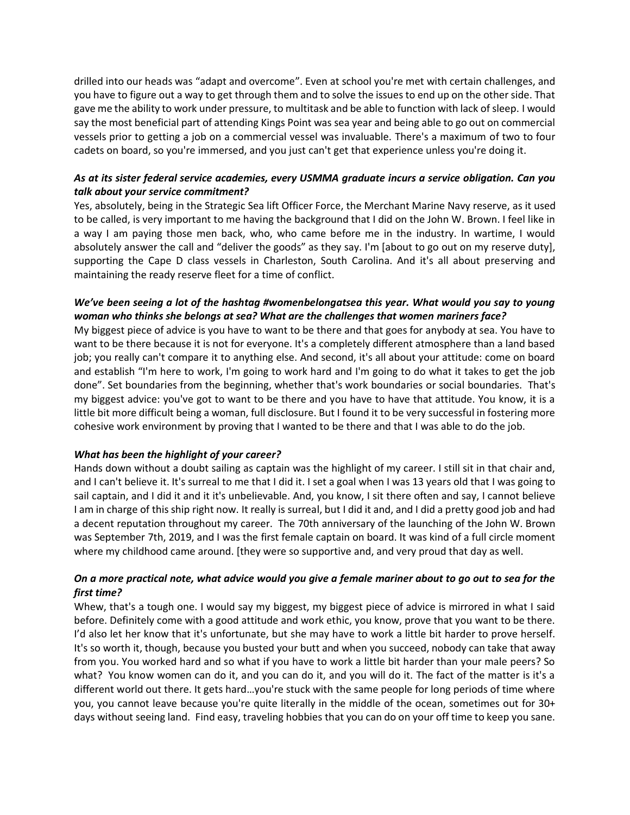drilled into our heads was "adapt and overcome". Even at school you're met with certain challenges, and you have to figure out a way to get through them and to solve the issues to end up on the other side. That gave me the ability to work under pressure, to multitask and be able to function with lack of sleep. I would say the most beneficial part of attending Kings Point was sea year and being able to go out on commercial vessels prior to getting a job on a commercial vessel was invaluable. There's a maximum of two to four cadets on board, so you're immersed, and you just can't get that experience unless you're doing it.

# *As at its sister federal service academies, every USMMA graduate incurs a service obligation. Can you talk about your service commitment?*

Yes, absolutely, being in the Strategic Sea lift Officer Force, the Merchant Marine Navy reserve, as it used to be called, is very important to me having the background that I did on the John W. Brown. I feel like in a way I am paying those men back, who, who came before me in the industry. In wartime, I would absolutely answer the call and "deliver the goods" as they say. I'm [about to go out on my reserve duty], supporting the Cape D class vessels in Charleston, South Carolina. And it's all about preserving and maintaining the ready reserve fleet for a time of conflict.

# *We've been seeing a lot of the hashtag #womenbelongatsea this year. What would you say to young woman who thinks she belongs at sea? What are the challenges that women mariners face?*

My biggest piece of advice is you have to want to be there and that goes for anybody at sea. You have to want to be there because it is not for everyone. It's a completely different atmosphere than a land based job; you really can't compare it to anything else. And second, it's all about your attitude: come on board and establish "I'm here to work, I'm going to work hard and I'm going to do what it takes to get the job done". Set boundaries from the beginning, whether that's work boundaries or social boundaries. That's my biggest advice: you've got to want to be there and you have to have that attitude. You know, it is a little bit more difficult being a woman, full disclosure. But I found it to be very successful in fostering more cohesive work environment by proving that I wanted to be there and that I was able to do the job.

## *What has been the highlight of your career?*

Hands down without a doubt sailing as captain was the highlight of my career. I still sit in that chair and, and I can't believe it. It's surreal to me that I did it. I set a goal when I was 13 years old that I was going to sail captain, and I did it and it it's unbelievable. And, you know, I sit there often and say, I cannot believe I am in charge of this ship right now. It really is surreal, but I did it and, and I did a pretty good job and had a decent reputation throughout my career. The 70th anniversary of the launching of the John W. Brown was September 7th, 2019, and I was the first female captain on board. It was kind of a full circle moment where my childhood came around. [they were so supportive and, and very proud that day as well.

# *On a more practical note, what advice would you give a female mariner about to go out to sea for the first time?*

Whew, that's a tough one. I would say my biggest, my biggest piece of advice is mirrored in what I said before. Definitely come with a good attitude and work ethic, you know, prove that you want to be there. I'd also let her know that it's unfortunate, but she may have to work a little bit harder to prove herself. It's so worth it, though, because you busted your butt and when you succeed, nobody can take that away from you. You worked hard and so what if you have to work a little bit harder than your male peers? So what? You know women can do it, and you can do it, and you will do it. The fact of the matter is it's a different world out there. It gets hard…you're stuck with the same people for long periods of time where you, you cannot leave because you're quite literally in the middle of the ocean, sometimes out for 30+ days without seeing land. Find easy, traveling hobbies that you can do on your off time to keep you sane.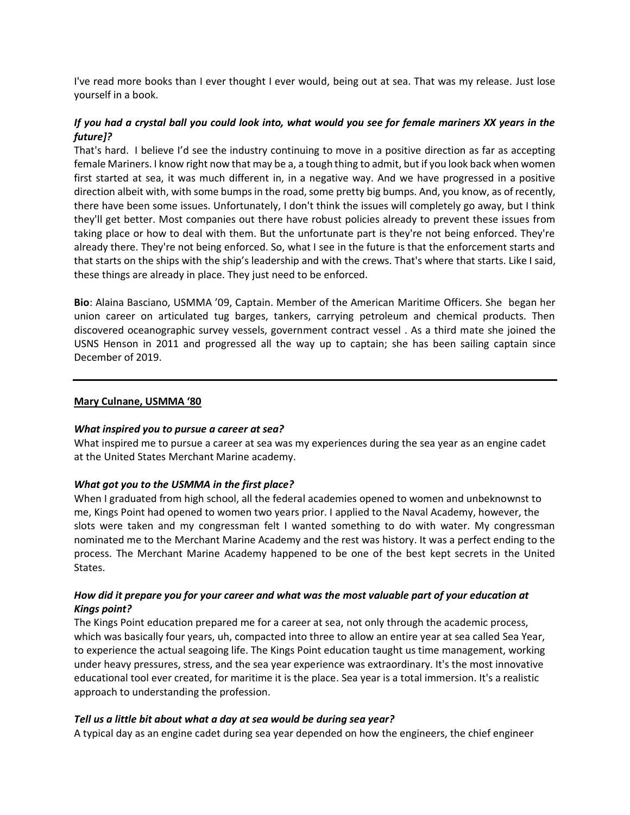I've read more books than I ever thought I ever would, being out at sea. That was my release. Just lose yourself in a book.

# *If you had a crystal ball you could look into, what would you see for female mariners XX years in the future]?*

That's hard. I believe I'd see the industry continuing to move in a positive direction as far as accepting female Mariners. I know right now that may be a, a tough thing to admit, but if you look back when women first started at sea, it was much different in, in a negative way. And we have progressed in a positive direction albeit with, with some bumps in the road, some pretty big bumps. And, you know, as of recently, there have been some issues. Unfortunately, I don't think the issues will completely go away, but I think they'll get better. Most companies out there have robust policies already to prevent these issues from taking place or how to deal with them. But the unfortunate part is they're not being enforced. They're already there. They're not being enforced. So, what I see in the future is that the enforcement starts and that starts on the ships with the ship's leadership and with the crews. That's where that starts. Like I said, these things are already in place. They just need to be enforced.

**Bio**: Alaina Basciano, USMMA '09, Captain. Member of the American Maritime Officers. She began her union career on articulated tug barges, tankers, carrying petroleum and chemical products. Then discovered oceanographic survey vessels, government contract vessel . As a third mate she joined the USNS Henson in 2011 and progressed all the way up to captain; she has been sailing captain since December of 2019.

#### **Mary Culnane, USMMA '80**

## *What inspired you to pursue a career at sea?*

What inspired me to pursue a career at sea was my experiences during the sea year as an engine cadet at the United States Merchant Marine academy.

## *What got you to the USMMA in the first place?*

When I graduated from high school, all the federal academies opened to women and unbeknownst to me, Kings Point had opened to women two years prior. I applied to the Naval Academy, however, the slots were taken and my congressman felt I wanted something to do with water. My congressman nominated me to the Merchant Marine Academy and the rest was history. It was a perfect ending to the process. The Merchant Marine Academy happened to be one of the best kept secrets in the United States.

## *How did it prepare you for your career and what was the most valuable part of your education at Kings point?*

The Kings Point education prepared me for a career at sea, not only through the academic process, which was basically four years, uh, compacted into three to allow an entire year at sea called Sea Year, to experience the actual seagoing life. The Kings Point education taught us time management, working under heavy pressures, stress, and the sea year experience was extraordinary. It's the most innovative educational tool ever created, for maritime it is the place. Sea year is a total immersion. It's a realistic approach to understanding the profession.

## *Tell us a little bit about what a day at sea would be during sea year?*

A typical day as an engine cadet during sea year depended on how the engineers, the chief engineer